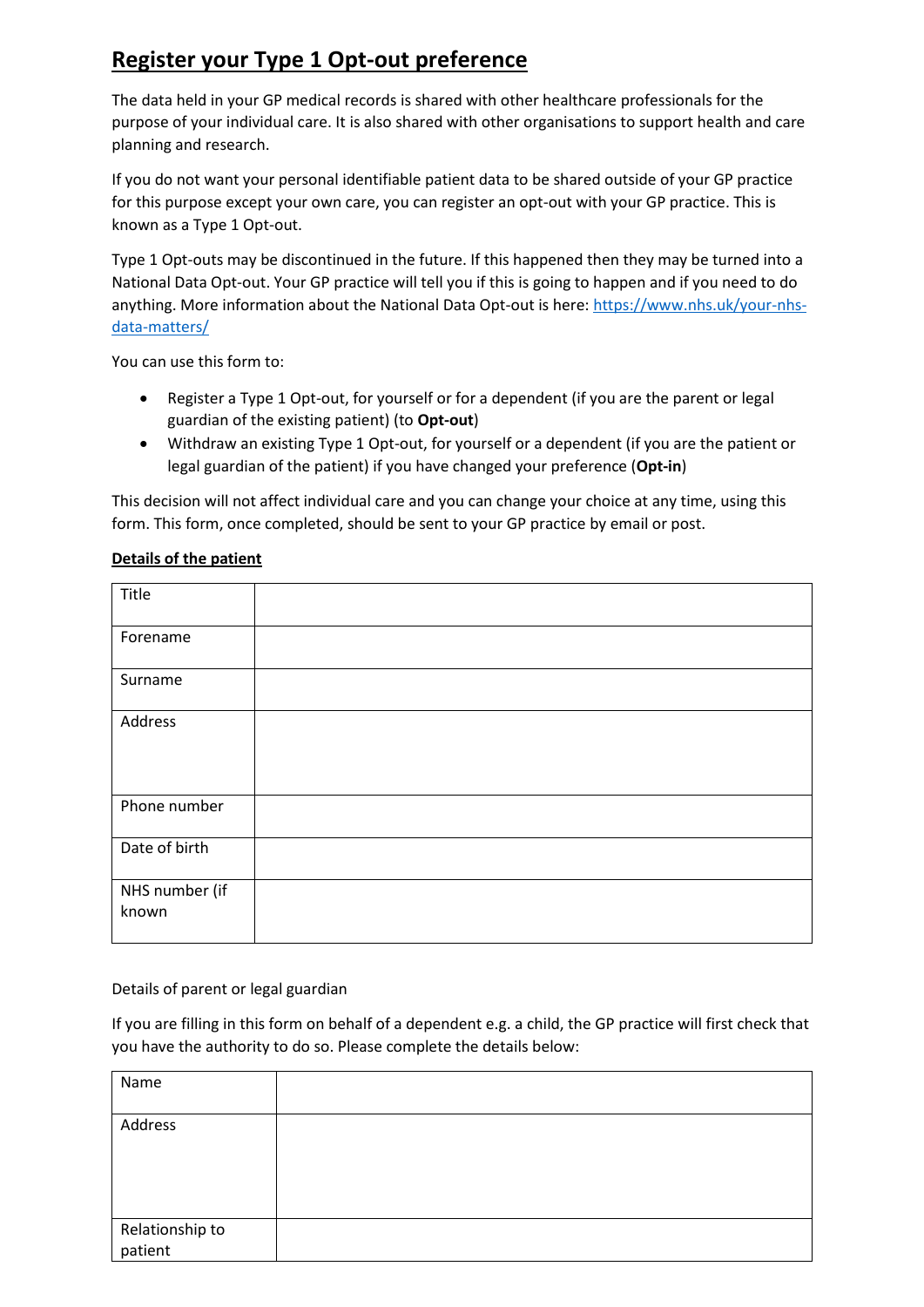# **Register your Type 1 Opt-out preference**

The data held in your GP medical records is shared with other healthcare professionals for the purpose of your individual care. It is also shared with other organisations to support health and care planning and research.

If you do not want your personal identifiable patient data to be shared outside of your GP practice for this purpose except your own care, you can register an opt-out with your GP practice. This is known as a Type 1 Opt-out.

Type 1 Opt-outs may be discontinued in the future. If this happened then they may be turned into a National Data Opt-out. Your GP practice will tell you if this is going to happen and if you need to do anything. More information about the National Data Opt-out is here: [https://www.nhs.uk/your-nhs](https://www.nhs.uk/your-nhs-data-matters/)[data-matters/](https://www.nhs.uk/your-nhs-data-matters/)

You can use this form to:

- Register a Type 1 Opt-out, for yourself or for a dependent (if you are the parent or legal guardian of the existing patient) (to **Opt-out**)
- Withdraw an existing Type 1 Opt-out, for yourself or a dependent (if you are the patient or legal guardian of the patient) if you have changed your preference (**Opt-in**)

This decision will not affect individual care and you can change your choice at any time, using this form. This form, once completed, should be sent to your GP practice by email or post.

# **Details of the patient**

| Title                   |  |
|-------------------------|--|
| Forename                |  |
| Surname                 |  |
| Address                 |  |
| Phone number            |  |
| Date of birth           |  |
| NHS number (if<br>known |  |

Details of parent or legal guardian

If you are filling in this form on behalf of a dependent e.g. a child, the GP practice will first check that you have the authority to do so. Please complete the details below:

| Name                       |  |
|----------------------------|--|
| Address                    |  |
| Relationship to<br>patient |  |